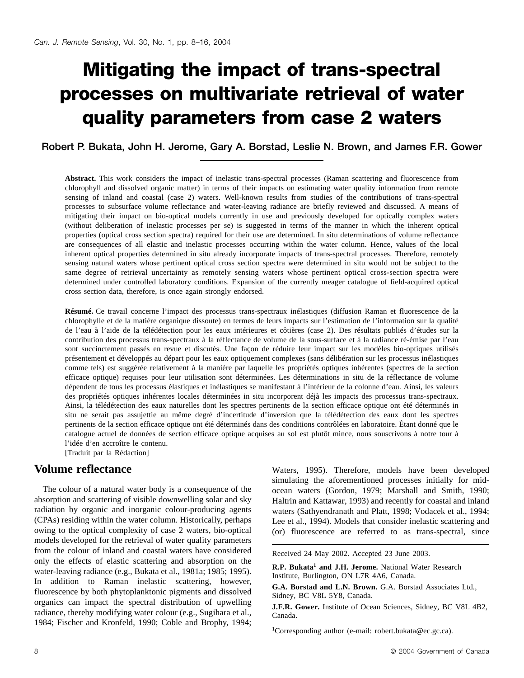# **Mitigating the impact of trans-spectral processes on multivariate retrieval of water quality parameters from case 2 waters**

**Robert P. Bukata, John H. Jerome, Gary A. Borstad, Leslie N. Brown, and James F.R. Gower**

**Abstract.** This work considers the impact of inelastic trans-spectral processes (Raman scattering and fluorescence from chlorophyll and dissolved organic matter) in terms of their impacts on estimating water quality information from remote sensing of inland and coastal (case 2) waters. Well-known results from studies of the contributions of trans-spectral processes to subsurface volume reflectance and water-leaving radiance are briefly reviewed and discussed. A means of mitigating their impact on bio-optical models currently in use and previously developed for optically complex waters (without deliberation of inelastic processes per se) is suggested in terms of the manner in which the inherent optical properties (optical cross section spectra) required for their use are determined. In situ determinations of volume reflectance are consequences of all elastic and inelastic processes occurring within the water column. Hence, values of the local inherent optical properties determined in situ already incorporate impacts of trans-spectral processes. Therefore, remotely sensing natural waters whose pertinent optical cross section spectra were determined in situ would not be subject to the same degree of retrieval uncertainty as remotely sensing waters whose pertinent optical cross-section spectra were determined under controlled laboratory conditions. Expansion of the currently meager catalogue of field-acquired optical cross section data, therefore, is once again strongly endorsed.

**Résumé.** Ce travail concerne l'impact des processus trans-spectraux inélastiques (diffusion Raman et fluorescence de la chlorophylle et de la matière organique dissoute) en termes de leurs impacts sur l'estimation de l'information sur la qualité de l'eau à l'aide de la télédétection pour les eaux intérieures et côtières (case 2). Des résultats publiés d'études sur la contribution des processus trans-spectraux à la réflectance de volume de la sous-surface et à la radiance ré-émise par l'eau sont succinctement passés en revue et discutés. Une façon de réduire leur impact sur les modèles bio-optiques utilisés présentement et développés au départ pour les eaux optiquement complexes (sans délibération sur les processus inélastiques comme tels) est suggérée relativement à la manière par laquelle les propriétés optiques inhérentes (spectres de la section efficace optique) requises pour leur utilisation sont déterminées. Les déterminations in situ de la réflectance de volume dépendent de tous les processus élastiques et inélastiques se manifestant à l'intérieur de la colonne d'eau. Ainsi, les valeurs des propriétés optiques inhérentes locales déterminées in situ incorporent déjà les impacts des processus trans-spectraux. Ainsi, la télédétection des eaux naturelles dont les spectres pertinents de la section efficace optique ont été déterminés in situ ne serait pas assujettie au même degré d'incertitude d'inversion que la télédétection des eaux dont les spectres pertinents de la section efficace optique ont été déterminés dans des conditions contrôlées en laboratoire. Étant donné que le catalogue actuel de données de section efficace optique acquises au sol est plutôt mince, nous souscrivons à notre tour à l'idée d'en accroître le contenu.

[Traduit par la Rédaction]

### **Volume reflectance**

The colour of a natural water body is a consequence of the absorption and scattering of visible downwelling solar and sky radiation by organic and inorganic colour-producing agents (CPAs) residing within the water column. Historically, perhaps owing to the optical complexity of case 2 waters, bio-optical models developed for the retrieval of water quality parameters from the colour of inland and coastal waters have considered only the effects of elastic scattering and absorption on the water-leaving radiance (e.g., Bukata et al., 1981a; 1985; 1995). In addition to Raman inelastic scattering, however, fluorescence by both phytoplanktonic pigments and dissolved organics can impact the spectral distribution of upwelling radiance, thereby modifying water colour (e.g., Sugihara et al., 1984; Fischer and Kronfeld, 1990; Coble and Brophy, 1994;

Waters, 1995). Therefore, models have been developed simulating the aforementioned processes initially for midocean waters (Gordon, 1979; Marshall and Smith, 1990; Haltrin and Kattawar, 1993) and recently for coastal and inland waters (Sathyendranath and Platt, 1998; Vodacek et al., 1994; Lee et al., 1994). Models that consider inelastic scattering and (or) fluorescence are referred to as trans-spectral, since

Received 24 May 2002. Accepted 23 June 2003.

**R.P. Bukata<sup>1</sup> and J.H. Jerome.** National Water Research Institute, Burlington, ON L7R 4A6, Canada.

**G.A. Borstad and L.N. Brown.** G.A. Borstad Associates Ltd., Sidney, BC V8L 5Y8, Canada.

**J.F.R. Gower.** Institute of Ocean Sciences, Sidney, BC V8L 4B2, Canada.

1 Corresponding author (e-mail: robert.bukata@ec.gc.ca).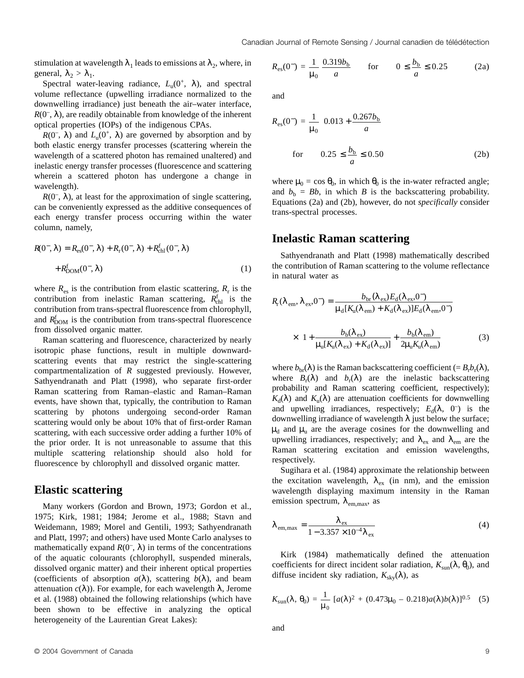stimulation at wavelength  $\lambda_1$  leads to emissions at  $\lambda_2$ , where, in general,  $\lambda_2 > \lambda_1$ .

Spectral water-leaving radiance,  $L_u(0^+, \lambda)$ , and spectral volume reflectance (upwelling irradiance normalized to the downwelling irradiance) just beneath the air–water interface,  $R(0^-, \lambda)$ , are readily obtainable from knowledge of the inherent optical properties (IOPs) of the indigenous CPAs.

 $R(0^-, \lambda)$  and  $L_u(0^+, \lambda)$  are governed by absorption and by both elastic energy transfer processes (scattering wherein the wavelength of a scattered photon has remained unaltered) and inelastic energy transfer processes (fluorescence and scattering wherein a scattered photon has undergone a change in wavelength).

 $R(0^-, \lambda)$ , at least for the approximation of single scattering, can be conveniently expressed as the additive consequences of each energy transfer process occurring within the water column, namely,

$$
R(0^-,\lambda) = R_{\rm es}(0^-,\lambda) + R_{\rm r}(0^-,\lambda) + R_{\rm ch}^{\rm f}(0^-,\lambda)
$$
  
+  $R_{\rm DOM}^{\rm f}(0^-,\lambda)$  (1)

where  $R_{\text{es}}$  is the contribution from elastic scattering,  $R_{\text{r}}$  is the contribution from inelastic Raman scattering,  $R_{\text{ch}}^{\text{f}}$  is the contribution from trans-spectral fluorescence from chlorophyll, and  $R_{\text{DOM}}^f$  is the contribution from trans-spectral fluorescence from dissolved organic matter.

Raman scattering and fluorescence, characterized by nearly isotropic phase functions, result in multiple downwardscattering events that may restrict the single-scattering compartmentalization of *R* suggested previously. However, Sathyendranath and Platt (1998), who separate first-order Raman scattering from Raman–elastic and Raman–Raman events, have shown that, typically, the contribution to Raman scattering by photons undergoing second-order Raman scattering would only be about 10% that of first-order Raman scattering, with each successive order adding a further 10% of the prior order. It is not unreasonable to assume that this multiple scattering relationship should also hold for fluorescence by chlorophyll and dissolved organic matter.

#### **Elastic scattering**

Many workers (Gordon and Brown, 1973; Gordon et al., 1975; Kirk, 1981; 1984; Jerome et al., 1988; Stavn and Weidemann, 1989; Morel and Gentili, 1993; Sathyendranath and Platt, 1997; and others) have used Monte Carlo analyses to mathematically expand  $R(0^-, \lambda)$  in terms of the concentrations of the aquatic colourants (chlorophyll, suspended minerals, dissolved organic matter) and their inherent optical properties (coefficients of absorption  $a(\lambda)$ , scattering  $b(\lambda)$ , and beam attenuation  $c(\lambda)$ ). For example, for each wavelength  $\lambda$ , Jerome et al. (1988) obtained the following relationships (which have been shown to be effective in analyzing the optical heterogeneity of the Laurentian Great Lakes):

$$
R_{\rm es}(0^{-}) = \frac{1}{\mu_0} \frac{0.319b_{\rm b}}{a} \qquad \text{for} \qquad 0 \le \frac{b_{\rm b}}{a} \le 0.25 \tag{2a}
$$

and

$$
R_{\rm es}(0^{-}) = \frac{1}{\mu_0} \left( 0.013 + \frac{0.267b_{\rm b}}{a} \right)
$$
  
for  $0.25 \le \frac{b_{\rm b}}{a} \le 0.50$  (2b)

where  $\mu_0 = \cos \theta_0$ , in which  $\theta_0$  is the in-water refracted angle; and  $b_b = Bb$ , in which *B* is the backscattering probability. Equations (2a) and (2b), however, do not *specifically* consider trans-spectral processes.

#### **Inelastic Raman scattering**

Sathyendranath and Platt (1998) mathematically described the contribution of Raman scattering to the volume reflectance in natural water as

$$
R_{\rm r}(\lambda_{\rm em}, \lambda_{\rm ex}, 0^{-}) = \frac{b_{\rm br}(\lambda_{\rm ex})E_{\rm d}(\lambda_{\rm ex}, 0^{-})}{\mu_{\rm d}[K_{\rm u}(\lambda_{\rm em}) + K_{\rm d}(\lambda_{\rm ex})]E_{\rm d}(\lambda_{\rm em}, 0^{-})}
$$

$$
\times \left[1 + \frac{b_{\rm b}(\lambda_{\rm ex})}{\mu_{\rm u}[K_{\rm u}(\lambda_{\rm ex}) + K_{\rm d}(\lambda_{\rm ex})]} + \frac{b_{\rm b}(\lambda_{\rm em})}{2\mu_{\rm u}K_{\rm u}(\lambda_{\rm em})}\right]
$$
(3)

where  $b_{\text{br}}(\lambda)$  is the Raman backscattering coefficient (=  $B_r b_r(\lambda)$ , where  $B_r(\lambda)$  and  $b_r(\lambda)$  are the inelastic backscattering probability and Raman scattering coefficient, respectively);  $K_d(\lambda)$  and  $K_u(\lambda)$  are attenuation coefficients for downwelling and upwelling irradiances, respectively;  $E_d(\lambda, 0^-)$  is the downwelling irradiance of wavelength λ just below the surface;  $\mu_d$  and  $\mu_u$  are the average cosines for the downwelling and upwelling irradiances, respectively; and  $\lambda_{\text{ex}}$  and  $\lambda_{\text{em}}$  are the Raman scattering excitation and emission wavelengths, respectively.

Sugihara et al. (1984) approximate the relationship between the excitation wavelength,  $\lambda_{ex}$  (in nm), and the emission wavelength displaying maximum intensity in the Raman emission spectrum,  $\lambda_{\text{em,max}}$ , as

$$
\lambda_{\rm em, max} = \frac{\lambda_{\rm ex}}{1 - 3.357 \times 10^{-4} \lambda_{\rm ex}} \tag{4}
$$

Kirk (1984) mathematically defined the attenuation coefficients for direct incident solar radiation,  $K_{\text{sun}}(\lambda, \theta_0)$ , and diffuse incident sky radiation,  $K_{\rm sky}(\lambda)$ , as

$$
K_{\text{sun}}(\lambda, \theta_0) = \frac{1}{\mu_0} \left[ a(\lambda)^2 + (0.473\mu_0 - 0.218)a(\lambda)b(\lambda) \right]^{0.5} \tag{5}
$$

and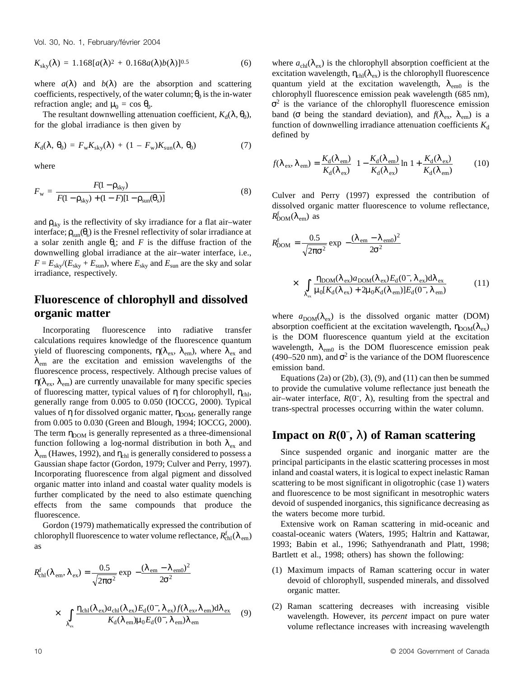Vol. 30, No. 1, February/février 2004

$$
K_{\rm sky}(\lambda) = 1.168[a(\lambda)^2 + 0.168a(\lambda)b(\lambda)]^{0.5}
$$
 (6)

where  $a(\lambda)$  and  $b(\lambda)$  are the absorption and scattering coefficients, respectively, of the water column;  $\theta_0$  is the in-water refraction angle; and  $\mu_0 = \cos \theta_0$ .

The resultant downwelling attenuation coefficient,  $K_d(\lambda, \theta_0)$ , for the global irradiance is then given by

$$
K_{\rm d}(\lambda, \,\theta_0) = F_{\rm w} K_{\rm sky}(\lambda) + (1 - F_{\rm w}) K_{\rm sun}(\lambda, \,\theta_0) \tag{7}
$$

where

$$
F_{\rm w} = \frac{F(1 - \rho_{\rm sky})}{F(1 - \rho_{\rm sky}) + (1 - F)[1 - \rho_{\rm sun}(\theta_{\rm s})]}
$$
(8)

and  $\rho_{\rm sky}$  is the reflectivity of sky irradiance for a flat air-water interface;  $\rho_{\text{sun}}(\theta_s)$  is the Fresnel reflectivity of solar irradiance at a solar zenith angle  $\theta_s$ ; and *F* is the diffuse fraction of the downwelling global irradiance at the air–water interface, i.e.,  $F = E_{\text{sky}}/(E_{\text{sky}} + E_{\text{sun}})$ , where  $E_{\text{sky}}$  and  $E_{\text{sun}}$  are the sky and solar irradiance, respectively.

## **Fluorescence of chlorophyll and dissolved organic matter**

Incorporating fluorescence into radiative transfer calculations requires knowledge of the fluorescence quantum yield of fluorescing components,  $\eta(\lambda_{\text{ex}}, \lambda_{\text{em}})$ , where  $\lambda_{\text{ex}}$  and  $\lambda_{\text{em}}$  are the excitation and emission wavelengths of the fluorescence process, respectively. Although precise values of  $η(λ<sub>ex</sub>, λ<sub>em</sub>)$  are currently unavailable for many specific species of fluorescing matter, typical values of  $\eta$  for chlorophyll,  $\eta_{\text{chl}}$ , generally range from 0.005 to 0.050 (IOCCG, 2000). Typical values of  $\eta$  for dissolved organic matter,  $\eta_{\text{DOM}}$ , generally range from 0.005 to 0.030 (Green and Blough, 1994; IOCCG, 2000). The term  $\eta_{\text{DOM}}$  is generally represented as a three-dimensional function following a log-normal distribution in both  $\lambda_{ex}$  and  $\lambda_{\text{em}}$  (Hawes, 1992), and  $\eta_{\text{chl}}$  is generally considered to possess a Gaussian shape factor (Gordon, 1979; Culver and Perry, 1997). Incorporating fluorescence from algal pigment and dissolved organic matter into inland and coastal water quality models is further complicated by the need to also estimate quenching effects from the same compounds that produce the fluorescence.

Gordon (1979) mathematically expressed the contribution of chlorophyll fluorescence to water volume reflectance,  $R_{\rm ch}^{\rm f}(\lambda_{\rm em})$ as

$$
R_{\text{chl}}^{\text{f}}(\lambda_{\text{em}}, \lambda_{\text{ex}}) = \frac{0.5}{\sqrt{2\pi\sigma^2}} \exp\left[-\frac{(\lambda_{\text{em}} - \lambda_{\text{em0}})^2}{2\sigma^2}\right]
$$

$$
\times \left[\int_{\lambda_{\text{ex}}} \frac{\eta_{\text{chl}}(\lambda_{\text{ex}})a_{\text{chl}}(\lambda_{\text{ex}})E_{\text{d}}(0^{-}, \lambda_{\text{ex}})f(\lambda_{\text{ex}}, \lambda_{\text{em}})d\lambda_{\text{ex}}}{K_{\text{d}}(\lambda_{\text{em}})\mu_0 E_{\text{d}}(0^{-}, \lambda_{\text{em}})\lambda_{\text{em}}}\right] (9)
$$

where  $a_{\text{ch}}(\lambda_{\text{ex}})$  is the chlorophyll absorption coefficient at the excitation wavelength,  $\eta_{\text{chl}}(\lambda_{\text{ex}})$  is the chlorophyll fluorescence quantum yield at the excitation wavelength,  $\lambda_{\text{em0}}$  is the chlorophyll fluorescence emission peak wavelength (685 nm),  $\sigma^2$  is the variance of the chlorophyll fluorescence emission band ( $\sigma$  being the standard deviation), and  $f(\lambda_{ex}, \lambda_{em})$  is a function of downwelling irradiance attenuation coefficients  $K_d$ defined by

$$
f(\lambda_{\rm ex}, \lambda_{\rm em}) = \frac{K_{\rm d}(\lambda_{\rm em})}{K_{\rm d}(\lambda_{\rm ex})} \left\{ 1 - \frac{K_{\rm d}(\lambda_{\rm em})}{K_{\rm d}(\lambda_{\rm ex})} \ln \left[ 1 + \frac{K_{\rm d}(\lambda_{\rm ex})}{K_{\rm d}(\lambda_{\rm em})} \right] \right\} \tag{10}
$$

Culver and Perry (1997) expressed the contribution of dissolved organic matter fluorescence to volume reflectance,  $R_{\rm DOM}^{\rm f}(\lambda_{\rm em})$  as

$$
R_{\rm DOM}^{\rm f} = \frac{0.5}{\sqrt{2\pi\sigma^2}} \exp\left[-\frac{(\lambda_{\rm em} - \lambda_{\rm em0})^2}{2\sigma^2}\right]
$$

$$
\times \left[\int_{\lambda_{\rm ex}} \frac{\eta_{\rm DOM}(\lambda_{\rm ex})a_{\rm DOM}(\lambda_{\rm ex})E_{\rm d}(0^-,\lambda_{\rm ex})d\lambda_{\rm ex}}{\mu_0[K_{\rm d}(\lambda_{\rm ex}) + 2\mu_0 K_{\rm d}(\lambda_{\rm em})]E_{\rm d}(0^-,\lambda_{\rm em})}\right]
$$
(11)

where  $a_{\text{DOM}}(\lambda_{\text{ex}})$  is the dissolved organic matter (DOM) absorption coefficient at the excitation wavelength,  $\eta_{\text{DOM}}(\lambda_{\text{ex}})$ is the DOM fluorescence quantum yield at the excitation wavelength,  $\lambda_{\text{em0}}$  is the DOM fluorescence emission peak (490–520 nm), and  $\sigma^2$  is the variance of the DOM fluorescence emission band.

Equations (2a) or (2b), (3), (9), and (11) can then be summed to provide the cumulative volume reflectance just beneath the air–water interface,  $R(0^-, \lambda)$ , resulting from the spectral and trans-spectral processes occurring within the water column.

# **Impact on**  $R(0^-, \lambda)$  **of Raman scattering**

Since suspended organic and inorganic matter are the principal participants in the elastic scattering processes in most inland and coastal waters, it is logical to expect inelastic Raman scattering to be most significant in oligotrophic (case 1) waters and fluorescence to be most significant in mesotrophic waters devoid of suspended inorganics, this significance decreasing as the waters become more turbid.

Extensive work on Raman scattering in mid-oceanic and coastal-oceanic waters (Waters, 1995; Haltrin and Kattawar, 1993; Babin et al., 1996; Sathyendranath and Platt, 1998; Bartlett et al., 1998; others) has shown the following:

- (1) Maximum impacts of Raman scattering occur in water devoid of chlorophyll, suspended minerals, and dissolved organic matter.
- (2) Raman scattering decreases with increasing visible wavelength. However, its *percent* impact on pure water volume reflectance increases with increasing wavelength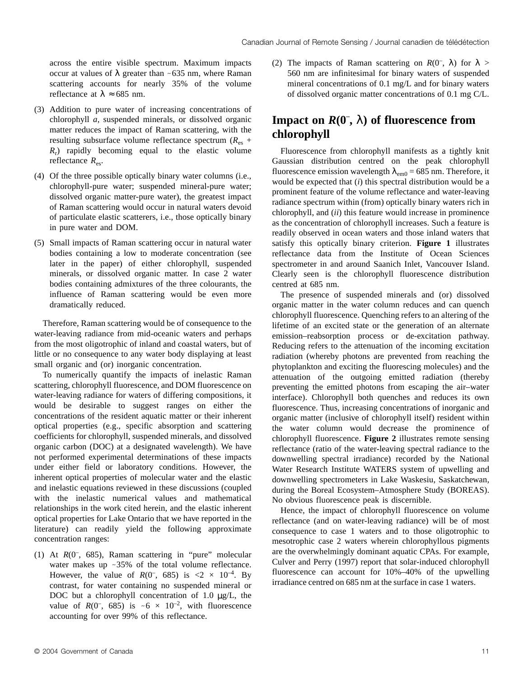across the entire visible spectrum. Maximum impacts occur at values of  $\lambda$  greater than ~635 nm, where Raman scattering accounts for nearly 35% of the volume reflectance at  $\lambda \approx 685$  nm.

- (3) Addition to pure water of increasing concentrations of chlorophyll *a*, suspended minerals, or dissolved organic matter reduces the impact of Raman scattering, with the resulting subsurface volume reflectance spectrum (*R*es +  $R_r$ ) rapidly becoming equal to the elastic volume reflectance  $R_{\rm es}$ .
- (4) Of the three possible optically binary water columns (i.e., chlorophyll-pure water; suspended mineral-pure water; dissolved organic matter-pure water), the greatest impact of Raman scattering would occur in natural waters devoid of particulate elastic scatterers, i.e., those optically binary in pure water and DOM.
- (5) Small impacts of Raman scattering occur in natural water bodies containing a low to moderate concentration (see later in the paper) of either chlorophyll, suspended minerals, or dissolved organic matter. In case 2 water bodies containing admixtures of the three colourants, the influence of Raman scattering would be even more dramatically reduced.

Therefore, Raman scattering would be of consequence to the water-leaving radiance from mid-oceanic waters and perhaps from the most oligotrophic of inland and coastal waters, but of little or no consequence to any water body displaying at least small organic and (or) inorganic concentration.

To numerically quantify the impacts of inelastic Raman scattering, chlorophyll fluorescence, and DOM fluorescence on water-leaving radiance for waters of differing compositions, it would be desirable to suggest ranges on either the concentrations of the resident aquatic matter or their inherent optical properties (e.g., specific absorption and scattering coefficients for chlorophyll, suspended minerals, and dissolved organic carbon (DOC) at a designated wavelength). We have not performed experimental determinations of these impacts under either field or laboratory conditions. However, the inherent optical properties of molecular water and the elastic and inelastic equations reviewed in these discussions (coupled with the inelastic numerical values and mathematical relationships in the work cited herein, and the elastic inherent optical properties for Lake Ontario that we have reported in the literature) can readily yield the following approximate concentration ranges:

(1) At *R*(0– , 685), Raman scattering in "pure" molecular water makes up  $\sim$  35% of the total volume reflectance. However, the value of  $R(0^-, 685)$  is  $\langle 2 \times 10^{-4}$ . By contrast, for water containing no suspended mineral or DOC but a chlorophyll concentration of 1.0  $\mu$ g/L, the value of  $R(0^-, 685)$  is  $\sim 6 \times 10^{-2}$ , with fluorescence accounting for over 99% of this reflectance.

(2) The impacts of Raman scattering on  $R(0^-, \lambda)$  for  $\lambda >$ 560 nm are infinitesimal for binary waters of suspended mineral concentrations of 0.1 mg/L and for binary waters of dissolved organic matter concentrations of 0.1 mg C/L.

## **Impact on**  $R(0^-, \lambda)$  **of fluorescence from chlorophyll**

Fluorescence from chlorophyll manifests as a tightly knit Gaussian distribution centred on the peak chlorophyll fluorescence emission wavelength  $\lambda_{\text{em0}} = 685$  nm. Therefore, it would be expected that (*i*) this spectral distribution would be a prominent feature of the volume reflectance and water-leaving radiance spectrum within (from) optically binary waters rich in chlorophyll, and (*ii*) this feature would increase in prominence as the concentration of chlorophyll increases. Such a feature is readily observed in ocean waters and those inland waters that satisfy this optically binary criterion. **Figure 1** illustrates reflectance data from the Institute of Ocean Sciences spectrometer in and around Saanich Inlet, Vancouver Island. Clearly seen is the chlorophyll fluorescence distribution centred at 685 nm.

The presence of suspended minerals and (or) dissolved organic matter in the water column reduces and can quench chlorophyll fluorescence. Quenching refers to an altering of the lifetime of an excited state or the generation of an alternate emission–reabsorption process or de-excitation pathway. Reducing refers to the attenuation of the incoming excitation radiation (whereby photons are prevented from reaching the phytoplankton and exciting the fluorescing molecules) and the attenuation of the outgoing emitted radiation (thereby preventing the emitted photons from escaping the air–water interface). Chlorophyll both quenches and reduces its own fluorescence. Thus, increasing concentrations of inorganic and organic matter (inclusive of chlorophyll itself) resident within the water column would decrease the prominence of chlorophyll fluorescence. **Figure 2** illustrates remote sensing reflectance (ratio of the water-leaving spectral radiance to the downwelling spectral irradiance) recorded by the National Water Research Institute WATERS system of upwelling and downwelling spectrometers in Lake Waskesiu, Saskatchewan, during the Boreal Ecosystem–Atmosphere Study (BOREAS). No obvious fluorescence peak is discernible.

Hence, the impact of chlorophyll fluorescence on volume reflectance (and on water-leaving radiance) will be of most consequence to case 1 waters and to those oligotrophic to mesotrophic case 2 waters wherein chlorophyllous pigments are the overwhelmingly dominant aquatic CPAs. For example, Culver and Perry (1997) report that solar-induced chlorophyll fluorescence can account for 10%–40% of the upwelling irradiance centred on 685 nm at the surface in case 1 waters.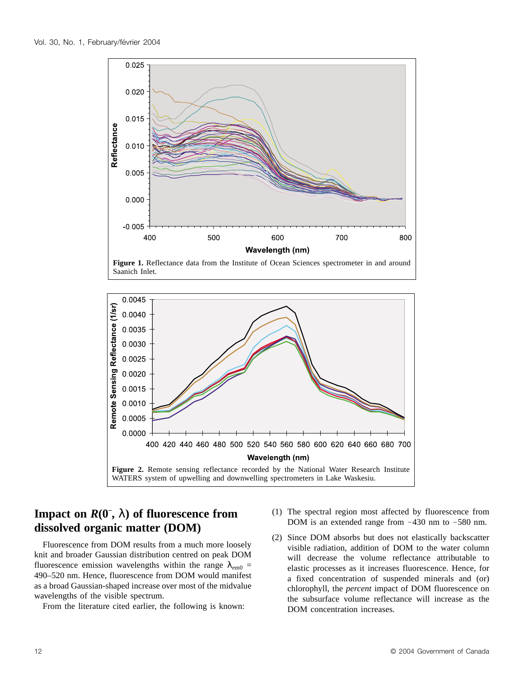

Saanich Inlet.



# **Impact on**  $R(0^-, \lambda)$  **of fluorescence from dissolved organic matter (DOM)**

Fluorescence from DOM results from a much more loosely knit and broader Gaussian distribution centred on peak DOM fluorescence emission wavelengths within the range  $\lambda_{\rm{em0}} =$ 490–520 nm. Hence, fluorescence from DOM would manifest as a broad Gaussian-shaped increase over most of the midvalue wavelengths of the visible spectrum.

From the literature cited earlier, the following is known:

- (1) The spectral region most affected by fluorescence from DOM is an extended range from  $~130$  nm to  $~580$  nm.
- (2) Since DOM absorbs but does not elastically backscatter visible radiation, addition of DOM to the water column will decrease the volume reflectance attributable to elastic processes as it increases fluorescence. Hence, for a fixed concentration of suspended minerals and (or) chlorophyll, the *percent* impact of DOM fluorescence on the subsurface volume reflectance will increase as the DOM concentration increases.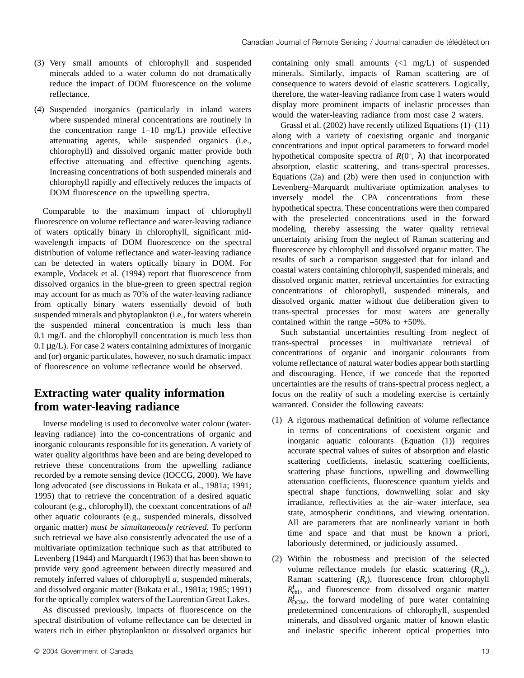- (3) Very small amounts of chlorophyll and suspended minerals added to a water column do not dramatically reduce the impact of DOM fluorescence on the volume reflectance.
- (4) Suspended inorganics (particularly in inland waters where suspended mineral concentrations are routinely in the concentration range  $1-10$  mg/L) provide effective attenuating agents, while suspended organics (i.e., chlorophyll) and dissolved organic matter provide both effective attenuating and effective quenching agents. Increasing concentrations of both suspended minerals and chlorophyll rapidly and effectively reduces the impacts of DOM fluorescence on the upwelling spectra.

Comparable to the maximum impact of chlorophyll fluorescence on volume reflectance and water-leaving radiance of waters optically binary in chlorophyll, significant midwavelength impacts of DOM fluorescence on the spectral distribution of volume reflectance and water-leaving radiance can be detected in waters optically binary in DOM. For example, Vodacek et al. (1994) report that fluorescence from dissolved organics in the blue-green to green spectral region may account for as much as 70% of the water-leaving radiance from optically binary waters essentially devoid of both suspended minerals and phytoplankton (i.e., for waters wherein the suspended mineral concentration is much less than 0.1 mg/L and the chlorophyll concentration is much less than  $0.1 \mu$ g/L). For case 2 waters containing admixtures of inorganic and (or) organic particulates, however, no such dramatic impact of fluorescence on volume reflectance would be observed.

## **Extracting water quality information from water-leaving radiance**

Inverse modeling is used to deconvolve water colour (waterleaving radiance) into the co-concentrations of organic and inorganic colourants responsible for its generation. A variety of water quality algorithms have been and are being developed to retrieve these concentrations from the upwelling radiance recorded by a remote sensing device (IOCCG, 2000). We have long advocated (see discussions in Bukata et al., 1981a; 1991; 1995) that to retrieve the concentration of a desired aquatic colourant (e.g., chlorophyll), the coextant concentrations of *all* other aquatic colourants (e.g., suspended minerals, dissolved organic matter) *must be simultaneously retrieved*. To perform such retrieval we have also consistently advocated the use of a multivariate optimization technique such as that attributed to Levenberg (1944) and Marquardt (1963) that has been shown to provide very good agreement between directly measured and remotely inferred values of chlorophyll *a*, suspended minerals, and dissolved organic matter (Bukata et al., 1981a; 1985; 1991) for the optically complex waters of the Laurentian Great Lakes.

As discussed previously, impacts of fluorescence on the spectral distribution of volume reflectance can be detected in waters rich in either phytoplankton or dissolved organics but containing only small amounts  $\left(\langle 1 \text{ mg/L}\rangle\right)$  of suspended minerals. Similarly, impacts of Raman scattering are of consequence to waters devoid of elastic scatterers. Logically, therefore, the water-leaving radiance from case 1 waters would display more prominent impacts of inelastic processes than would the water-leaving radiance from most case 2 waters.

Grassl et al.  $(2002)$  have recently utilized Equations  $(1)$ – $(11)$ along with a variety of coexisting organic and inorganic concentrations and input optical parameters to forward model hypothetical composite spectra of  $R(0^-, \lambda)$  that incorporated absorption, elastic scattering, and trans-spectral processes. Equations (2a) and (2b) were then used in conjunction with Levenberg–Marquardt multivariate optimization analyses to inversely model the CPA concentrations from these hypothetical spectra. These concentrations were then compared with the preselected concentrations used in the forward modeling, thereby assessing the water quality retrieval uncertainty arising from the neglect of Raman scattering and fluorescence by chlorophyll and dissolved organic matter. The results of such a comparison suggested that for inland and coastal waters containing chlorophyll, suspended minerals, and dissolved organic matter, retrieval uncertainties for extracting concentrations of chlorophyll, suspended minerals, and dissolved organic matter without due deliberation given to trans-spectral processes for most waters are generally contained within the range  $-50\%$  to  $+50\%$ .

Such substantial uncertainties resulting from neglect of trans-spectral processes in multivariate retrieval of concentrations of organic and inorganic colourants from volume reflectance of natural water bodies appear both startling and discouraging. Hence, if we concede that the reported uncertainties are the results of trans-spectral process neglect, a focus on the reality of such a modeling exercise is certainly warranted. Consider the following caveats:

- (1) A rigorous mathematical definition of volume reflectance in terms of concentrations of coexistent organic and inorganic aquatic colourants (Equation (1)) requires accurate spectral values of suites of absorption and elastic scattering coefficients, inelastic scattering coefficients, scattering phase functions, upwelling and downwelling attenuation coefficients, fluorescence quantum yields and spectral shape functions, downwelling solar and sky irradiance, reflectivities at the air–water interface, sea state, atmospheric conditions, and viewing orientation. All are parameters that are nonlinearly variant in both time and space and that must be known a priori, laboriously determined, or judiciously assumed.
- (2) Within the robustness and precision of the selected volume reflectance models for elastic scattering  $(R_{\rm es})$ , Raman scattering (*R*r), fluorescence from chlorophyll  $R_{\text{ch}}^{\text{f}}$ , and fluorescence from dissolved organic matter  $R_{\text{DOM}}^f$ , the forward modeling of pure water containing predetermined concentrations of chlorophyll, suspended minerals, and dissolved organic matter of known elastic and inelastic specific inherent optical properties into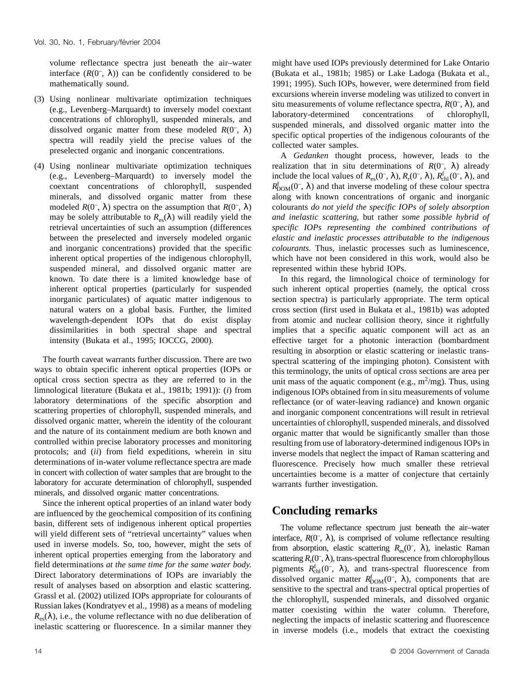volume reflectance spectra just beneath the air–water interface  $(R(0^{-}, \lambda))$  can be confidently considered to be mathematically sound.

- (3) Using nonlinear multivariate optimization techniques (e.g., Levenberg–Marquardt) to inversely model coextant concentrations of chlorophyll, suspended minerals, and dissolved organic matter from these modeled  $R(0^-, \lambda)$ spectra will readily yield the precise values of the preselected organic and inorganic concentrations.
- (4) Using nonlinear multivariate optimization techniques (e.g., Levenberg–Marquardt) to inversely model the coextant concentrations of chlorophyll, suspended minerals, and dissolved organic matter from these modeled  $R(0^-, \lambda)$  spectra on the assumption that  $R(0^-, \lambda)$ may be solely attributable to  $R_{es}(\lambda)$  will readily yield the retrieval uncertainties of such an assumption (differences between the preselected and inversely modeled organic and inorganic concentrations) provided that the specific inherent optical properties of the indigenous chlorophyll, suspended mineral, and dissolved organic matter are known. To date there is a limited knowledge base of inherent optical properties (particularly for suspended inorganic particulates) of aquatic matter indigenous to natural waters on a global basis. Further, the limited wavelength-dependent IOPs that do exist display dissimilarities in both spectral shape and spectral intensity (Bukata et al., 1995; IOCCG, 2000).

The fourth caveat warrants further discussion. There are two ways to obtain specific inherent optical properties (IOPs or optical cross section spectra as they are referred to in the limnological literature (Bukata et al., 1981b; 1991)): (*i*) from laboratory determinations of the specific absorption and scattering properties of chlorophyll, suspended minerals, and dissolved organic matter, wherein the identity of the colourant and the nature of its containment medium are both known and controlled within precise laboratory processes and monitoring protocols; and (*ii*) from field expeditions, wherein in situ determinations of in-water volume reflectance spectra are made in concert with collection of water samples that are brought to the laboratory for accurate determination of chlorophyll, suspended minerals, and dissolved organic matter concentrations.

Since the inherent optical properties of an inland water body are influenced by the geochemical composition of its confining basin, different sets of indigenous inherent optical properties will yield different sets of "retrieval uncertainty" values when used in inverse models. So, too, however, might the sets of inherent optical properties emerging from the laboratory and field determinations *at the same time for the same water body*. Direct laboratory determinations of IOPs are invariably the result of analyses based on absorption and elastic scattering. Grassl et al. (2002) utilized IOPs appropriate for colourants of Russian lakes (Kondratyev et al., 1998) as a means of modeling  $R_{\text{es}}(\lambda)$ , i.e., the volume reflectance with no due deliberation of inelastic scattering or fluorescence. In a similar manner they might have used IOPs previously determined for Lake Ontario (Bukata et al., 1981b; 1985) or Lake Ladoga (Bukata et al., 1991; 1995). Such IOPs, however, were determined from field excursions wherein inverse modeling was utilized to convert in situ measurements of volume reflectance spectra,  $R(0^-, \lambda)$ , and laboratory-determined concentrations of chlorophyll, suspended minerals, and dissolved organic matter into the specific optical properties of the indigenous colourants of the collected water samples.

A *Gedanken* thought process, however, leads to the realization that in situ determinations of  $R(0^-, \lambda)$  already include the local values of  $R_{\rm es}(0^-,\lambda)$ ,  $R_{\rm r}(0^-,\lambda)$ ,  $R_{\rm ch}^{\rm f}(0^-,\lambda)$ , and  $R_{\text{DOM}}^f(0^-, \lambda)$  and that inverse modeling of these colour spectra along with known concentrations of organic and inorganic colourants *do not yield the specific IOPs of solely absorption and inelastic scattering*, but rather *some possible hybrid of specific IOPs representing the combined contributions of elastic and inelastic processes attributable to the indigenous colourants.* Thus, inelastic processes such as luminescence, which have not been considered in this work, would also be represented within these hybrid IOPs.

In this regard, the limnological choice of terminology for such inherent optical properties (namely, the optical cross section spectra) is particularly appropriate. The term optical cross section (first used in Bukata et al., 1981b) was adopted from atomic and nuclear collision theory, since it rightfully implies that a specific aquatic component will act as an effective target for a photonic interaction (bombardment resulting in absorption or elastic scattering or inelastic transspectral scattering of the impinging photon). Consistent with this terminology, the units of optical cross sections are area per unit mass of the aquatic component (e.g.,  $m^2/mg$ ). Thus, using indigenous IOPs obtained from in situ measurements of volume reflectance (or of water-leaving radiance) and known organic and inorganic component concentrations will result in retrieval uncertainties of chlorophyll, suspended minerals, and dissolved organic matter that would be significantly smaller than those resulting from use of laboratory-determined indigenous IOPs in inverse models that neglect the impact of Raman scattering and fluorescence. Precisely how much smaller these retrieval uncertainties become is a matter of conjecture that certainly warrants further investigation.

## **Concluding remarks**

The volume reflectance spectrum just beneath the air–water interface,  $R(0^-$ ,  $\lambda$ ), is comprised of volume reflectance resulting from absorption, elastic scattering  $R_{\rm es}(0^-,\lambda)$ , inelastic Raman scattering  $R_r(0^-, \lambda)$ , trans-spectral fluorescence from chlorophyllous pigments  $R_{\text{ch}}^f(0^-, \lambda)$ , and trans-spectral fluorescence from dissolved organic matter  $R_{\text{DOM}}^f(0^-, \lambda)$ , components that are sensitive to the spectral and trans-spectral optical properties of the chlorophyll, suspended minerals, and dissolved organic matter coexisting within the water column. Therefore, neglecting the impacts of inelastic scattering and fluorescence in inverse models (i.e., models that extract the coexisting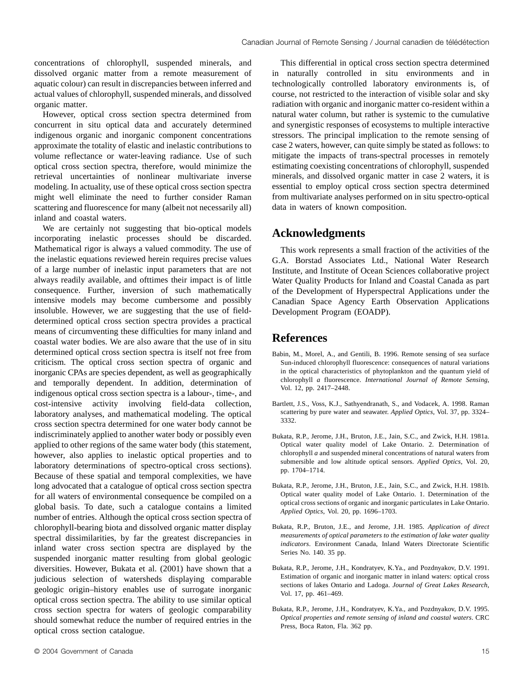concentrations of chlorophyll, suspended minerals, and dissolved organic matter from a remote measurement of aquatic colour) can result in discrepancies between inferred and actual values of chlorophyll, suspended minerals, and dissolved organic matter.

However, optical cross section spectra determined from concurrent in situ optical data and accurately determined indigenous organic and inorganic component concentrations approximate the totality of elastic and inelastic contributions to volume reflectance or water-leaving radiance. Use of such optical cross section spectra, therefore, would minimize the retrieval uncertainties of nonlinear multivariate inverse modeling. In actuality, use of these optical cross section spectra might well eliminate the need to further consider Raman scattering and fluorescence for many (albeit not necessarily all) inland and coastal waters.

We are certainly not suggesting that bio-optical models incorporating inelastic processes should be discarded. Mathematical rigor is always a valued commodity. The use of the inelastic equations reviewed herein requires precise values of a large number of inelastic input parameters that are not always readily available, and ofttimes their impact is of little consequence. Further, inversion of such mathematically intensive models may become cumbersome and possibly insoluble. However, we are suggesting that the use of fielddetermined optical cross section spectra provides a practical means of circumventing these difficulties for many inland and coastal water bodies. We are also aware that the use of in situ determined optical cross section spectra is itself not free from criticism. The optical cross section spectra of organic and inorganic CPAs are species dependent, as well as geographically and temporally dependent. In addition, determination of indigenous optical cross section spectra is a labour-, time-, and cost-intensive activity involving field-data collection, laboratory analyses, and mathematical modeling. The optical cross section spectra determined for one water body cannot be indiscriminately applied to another water body or possibly even applied to other regions of the same water body (this statement, however, also applies to inelastic optical properties and to laboratory determinations of spectro-optical cross sections). Because of these spatial and temporal complexities, we have long advocated that a catalogue of optical cross section spectra for all waters of environmental consequence be compiled on a global basis. To date, such a catalogue contains a limited number of entries. Although the optical cross section spectra of chlorophyll-bearing biota and dissolved organic matter display spectral dissimilarities, by far the greatest discrepancies in inland water cross section spectra are displayed by the suspended inorganic matter resulting from global geologic diversities. However, Bukata et al. (2001) have shown that a judicious selection of watersheds displaying comparable geologic origin–history enables use of surrogate inorganic optical cross section spectra. The ability to use similar optical cross section spectra for waters of geologic comparability should somewhat reduce the number of required entries in the optical cross section catalogue.

This differential in optical cross section spectra determined in naturally controlled in situ environments and in technologically controlled laboratory environments is, of course, not restricted to the interaction of visible solar and sky radiation with organic and inorganic matter co-resident within a natural water column, but rather is systemic to the cumulative and synergistic responses of ecosystems to multiple interactive stressors. The principal implication to the remote sensing of case 2 waters, however, can quite simply be stated as follows: to mitigate the impacts of trans-spectral processes in remotely estimating coexisting concentrations of chlorophyll, suspended minerals, and dissolved organic matter in case 2 waters, it is essential to employ optical cross section spectra determined from multivariate analyses performed on in situ spectro-optical data in waters of known composition.

#### **Acknowledgments**

This work represents a small fraction of the activities of the G.A. Borstad Associates Ltd., National Water Research Institute, and Institute of Ocean Sciences collaborative project Water Quality Products for Inland and Coastal Canada as part of the Development of Hyperspectral Applications under the Canadian Space Agency Earth Observation Applications Development Program (EOADP).

#### **References**

- Babin, M., Morel, A., and Gentili, B. 1996. Remote sensing of sea surface Sun-induced chlorophyll fluorescence: consequences of natural variations in the optical characteristics of phytoplankton and the quantum yield of chlorophyll *a* fluorescence. *International Journal of Remote Sensing*, Vol. 12, pp. 2417–2448.
- Bartlett, J.S., Voss, K.J., Sathyendranath, S., and Vodacek, A. 1998. Raman scattering by pure water and seawater. *Applied Optics*, Vol. 37, pp. 3324– 3332.
- Bukata, R.P., Jerome, J.H., Bruton, J.E., Jain, S.C., and Zwick, H.H. 1981a. Optical water quality model of Lake Ontario. 2. Determination of chlorophyll *a* and suspended mineral concentrations of natural waters from submersible and low altitude optical sensors. *Applied Optics*, Vol. 20, pp. 1704–1714.
- Bukata, R.P., Jerome, J.H., Bruton, J.E., Jain, S.C., and Zwick, H.H. 1981b. Optical water quality model of Lake Ontario. 1. Determination of the optical cross sections of organic and inorganic particulates in Lake Ontario. *Applied Optics*, Vol. 20, pp. 1696–1703.
- Bukata, R.P., Bruton, J.E., and Jerome, J.H. 1985. *Application of direct measurements of optical parameters to the estimation of lake water quality indicators*. Environment Canada, Inland Waters Directorate Scientific Series No. 140. 35 pp.
- Bukata, R.P., Jerome, J.H., Kondratyev, K.Ya., and Pozdnyakov, D.V. 1991. Estimation of organic and inorganic matter in inland waters: optical cross sections of lakes Ontario and Ladoga. *Journal of Great Lakes Research*, Vol. 17, pp. 461–469.
- Bukata, R.P., Jerome, J.H., Kondratyev, K.Ya., and Pozdnyakov, D.V. 1995. *Optical properties and remote sensing of inland and coastal waters*. CRC Press, Boca Raton, Fla. 362 pp.